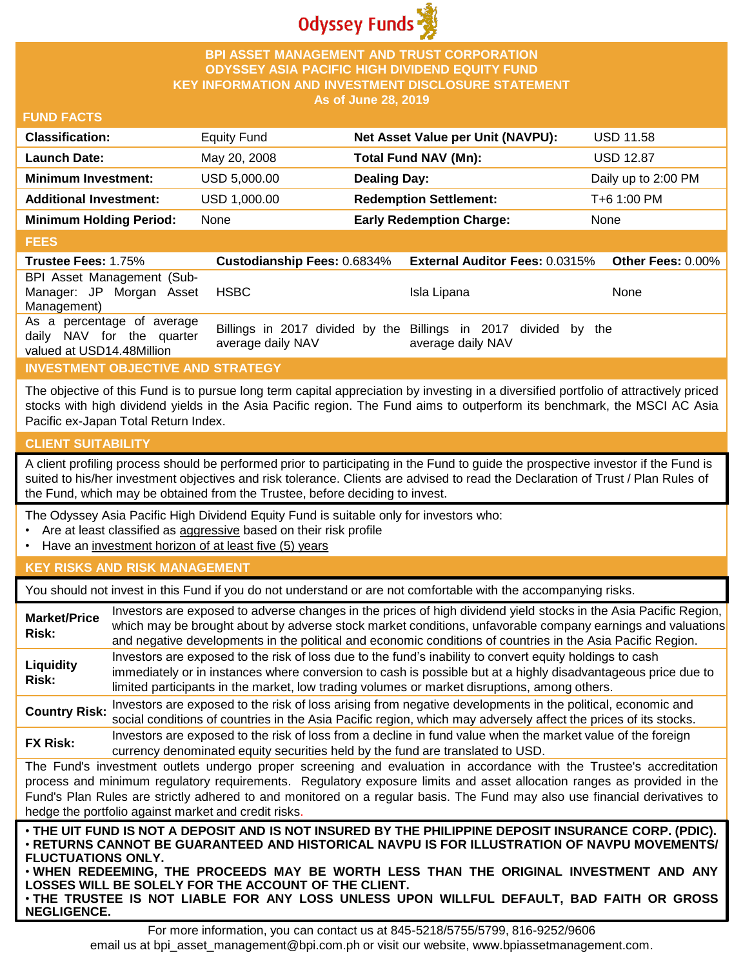

## **BPI ASSET MANAGEMENT AND TRUST CORPORATION ODYSSEY ASIA PACIFIC HIGH DIVIDEND EQUITY FUND KEY INFORMATION AND INVESTMENT DISCLOSURE STATEMENT As of June 28, 2019**

## **FUND FACTS**

| <b>Classification:</b>         | <b>Equity Fund</b> | Net Asset Value per Unit (NAVPU): | <b>USD 11.58</b>    |
|--------------------------------|--------------------|-----------------------------------|---------------------|
| <b>Launch Date:</b>            | May 20, 2008       | Total Fund NAV (Mn):              | <b>USD 12.87</b>    |
| <b>Minimum Investment:</b>     | USD 5,000.00       | <b>Dealing Day:</b>               | Daily up to 2:00 PM |
| <b>Additional Investment:</b>  | USD 1,000.00       | <b>Redemption Settlement:</b>     | T+6 1:00 PM         |
| <b>Minimum Holding Period:</b> | None               | <b>Early Redemption Charge:</b>   | None                |

## **FEES**

| <b>Trustee Fees: 1.75%</b>                                                           |                   | Custodianship Fees: 0.6834% External Auditor Fees: 0.0315%                           | <b>Other Fees: 0.00%</b> |
|--------------------------------------------------------------------------------------|-------------------|--------------------------------------------------------------------------------------|--------------------------|
| BPI Asset Management (Sub-<br>Manager: JP Morgan Asset<br>Management)                | <b>HSBC</b>       | Isla Lipana                                                                          | None                     |
| As a percentage of average<br>daily NAV for the quarter<br>valued at USD14.48Million | average daily NAV | Billings in 2017 divided by the Billings in 2017 divided by the<br>average daily NAV |                          |

# **INVESTMENT OBJECTIVE AND STRATEGY**

The objective of this Fund is to pursue long term capital appreciation by investing in a diversified portfolio of attractively priced stocks with high dividend yields in the Asia Pacific region. The Fund aims to outperform its benchmark, the MSCI AC Asia Pacific ex-Japan Total Return Index.

# **CLIENT SUITABILITY**

**NEGLIGENCE.**

A client profiling process should be performed prior to participating in the Fund to guide the prospective investor if the Fund is suited to his/her investment objectives and risk tolerance. Clients are advised to read the Declaration of Trust / Plan Rules of the Fund, which may be obtained from the Trustee, before deciding to invest.

The Odyssey Asia Pacific High Dividend Equity Fund is suitable only for investors who:

- Are at least classified as aggressive based on their risk profile
- Have an investment horizon of at least five (5) years

# **KEY RISKS AND RISK MANAGEMENT**

You should not invest in this Fund if you do not understand or are not comfortable with the accompanying risks.

| <b>Market/Price</b><br>Risk:                                                                                                                                                                                                                                                                                                                                                                                                         | Investors are exposed to adverse changes in the prices of high dividend yield stocks in the Asia Pacific Region,<br>which may be brought about by adverse stock market conditions, unfavorable company earnings and valuations<br>and negative developments in the political and economic conditions of countries in the Asia Pacific Region.                                                                                                    |  |  |
|--------------------------------------------------------------------------------------------------------------------------------------------------------------------------------------------------------------------------------------------------------------------------------------------------------------------------------------------------------------------------------------------------------------------------------------|--------------------------------------------------------------------------------------------------------------------------------------------------------------------------------------------------------------------------------------------------------------------------------------------------------------------------------------------------------------------------------------------------------------------------------------------------|--|--|
| Liquidity<br>Risk:                                                                                                                                                                                                                                                                                                                                                                                                                   | Investors are exposed to the risk of loss due to the fund's inability to convert equity holdings to cash<br>immediately or in instances where conversion to cash is possible but at a highly disadvantageous price due to<br>limited participants in the market, low trading volumes or market disruptions, among others.                                                                                                                        |  |  |
| <b>Country Risk:</b>                                                                                                                                                                                                                                                                                                                                                                                                                 | Investors are exposed to the risk of loss arising from negative developments in the political, economic and<br>social conditions of countries in the Asia Pacific region, which may adversely affect the prices of its stocks.                                                                                                                                                                                                                   |  |  |
| <b>FX Risk:</b>                                                                                                                                                                                                                                                                                                                                                                                                                      | Investors are exposed to the risk of loss from a decline in fund value when the market value of the foreign<br>currency denominated equity securities held by the fund are translated to USD.                                                                                                                                                                                                                                                    |  |  |
| The Fund's investment outlets undergo proper screening and evaluation in accordance with the Trustee's accreditation<br>process and minimum regulatory requirements. Regulatory exposure limits and asset allocation ranges as provided in the<br>Fund's Plan Rules are strictly adhered to and monitored on a regular basis. The Fund may also use financial derivatives to<br>hedge the portfolio against market and credit risks. |                                                                                                                                                                                                                                                                                                                                                                                                                                                  |  |  |
| <b>FLUCTUATIONS ONLY.</b>                                                                                                                                                                                                                                                                                                                                                                                                            | . THE UIT FUND IS NOT A DEPOSIT AND IS NOT INSURED BY THE PHILIPPINE DEPOSIT INSURANCE CORP. (PDIC).<br>· RETURNS CANNOT BE GUARANTEED AND HISTORICAL NAVPU IS FOR ILLUSTRATION OF NAVPU MOVEMENTS/<br>. WHEN REDEEMING, THE PROCEEDS MAY BE WORTH LESS THAN THE ORIGINAL INVESTMENT AND ANY<br>LOSSES WILL BE SOLELY FOR THE ACCOUNT OF THE CLIENT.<br>. THE TRUSTEE IS NOT LIABLE FOR ANY LOSS UNLESS UPON WILLFUL DEFAULT, BAD FAITH OR GROSS |  |  |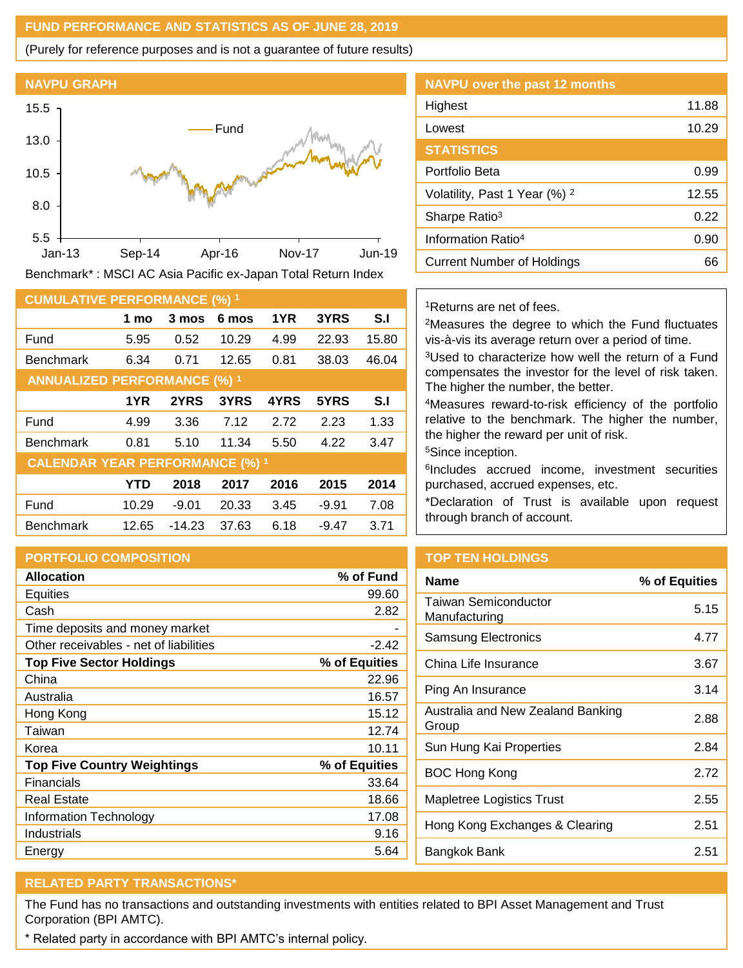## **FUND PERFORMANCE AND STATISTICS AS OF JUNE 28, 2019**

(Purely for reference purposes and is not a guarantee of future results)

#### **NAVPU GRAPH**



Benchmark\* : MSCI AC Asia Pacific ex-Japan Total Return Index

| <b>CUMULATIVE PERFORMANCE (%) 1</b>    |            |         |       |      |         |       |
|----------------------------------------|------------|---------|-------|------|---------|-------|
|                                        | 1 mo       | 3 mos   | 6 mos | 1YR  | 3YRS    | S.I   |
| Fund                                   | 5.95       | 0.52    | 10.29 | 4.99 | 22.93   | 15.80 |
| <b>Benchmark</b>                       | 6.34       | 0.71    | 12.65 | 0.81 | 38.03   | 46.04 |
| <b>ANNUALIZED PERFORMANCE (%) 1</b>    |            |         |       |      |         |       |
|                                        | 1YR        | 2YRS    | 3YRS  | 4YRS | 5YRS    | S.I   |
| Fund                                   | 4.99       | 3.36    | 7.12  | 2.72 | 2.23    | 1.33  |
| <b>Benchmark</b>                       | 0.81       | 5.10    | 11.34 | 5.50 | 4.22    | 3.47  |
| <b>CALENDAR YEAR PERFORMANCE (%) 1</b> |            |         |       |      |         |       |
|                                        | <b>YTD</b> | 2018    | 2017  | 2016 | 2015    | 2014  |
| Fund                                   | 10.29      | $-9.01$ | 20.33 | 3.45 | $-9.91$ | 7.08  |
| <b>Benchmark</b>                       | 12.65      | -14.23  | 37.63 | 6.18 | $-9.47$ | 3.71  |

# **PORTFOLIO COMPOSITION**

| <b>Allocation</b>                      | % of Fund     |
|----------------------------------------|---------------|
| <b>Equities</b>                        | 99.60         |
| Cash                                   | 2.82          |
| Time deposits and money market         |               |
| Other receivables - net of liabilities | $-2.42$       |
| <b>Top Five Sector Holdings</b>        | % of Equities |
| China                                  | 22.96         |
| Australia                              | 16.57         |
| Hong Kong                              | 15.12         |
| Taiwan                                 | 12.74         |
| Korea                                  | 10.11         |
| <b>Top Five Country Weightings</b>     | % of Equities |
| <b>Financials</b>                      | 33.64         |
| Real Estate                            | 18.66         |
| Information Technology                 | 17.08         |
| Industrials                            | 9.16          |
| Energy                                 | 5.64          |

| <b>NAVPU</b> over the past 12 months     |       |
|------------------------------------------|-------|
| Highest                                  | 11.88 |
| Lowest                                   | 10.29 |
| <b>STATISTICS</b>                        |       |
| Portfolio Beta                           | 0.99  |
| Volatility, Past 1 Year (%) <sup>2</sup> | 12.55 |
| Sharpe Ratio <sup>3</sup>                | 0.22  |
| Information Ratio <sup>4</sup>           | 0.90  |
| <b>Current Number of Holdings</b>        | 66    |

## <sup>1</sup>Returns are net of fees.

<sup>2</sup>Measures the degree to which the Fund fluctuates vis-à-vis its average return over a period of time.

<sup>3</sup>Used to characterize how well the return of a Fund compensates the investor for the level of risk taken. The higher the number, the better.

<sup>4</sup>Measures reward-to-risk efficiency of the portfolio relative to the benchmark. The higher the number, the higher the reward per unit of risk.

<sup>5</sup>Since inception.

6 Includes accrued income, investment securities purchased, accrued expenses, etc.

\*Declaration of Trust is available upon request through branch of account.

# **TOP TEN HOLDINGS**

| <b>Name</b>                                | % of Equities |
|--------------------------------------------|---------------|
| Taiwan Semiconductor<br>Manufacturing      | 5.15          |
| Samsung Electronics                        | 4.77          |
| China Life Insurance                       | 3.67          |
| Ping An Insurance                          | 3.14          |
| Australia and New Zealand Banking<br>Group | 2.88          |
| Sun Hung Kai Properties                    | 2.84          |
| <b>BOC Hong Kong</b>                       | 2.72          |
| Mapletree Logistics Trust                  | 2.55          |
| Hong Kong Exchanges & Clearing             | 2.51          |
| Bangkok Bank                               | 2.51          |

# **RELATED PARTY TRANSACTIONS\***

The Fund has no transactions and outstanding investments with entities related to BPI Asset Management and Trust Corporation (BPI AMTC).

\* Related party in accordance with BPI AMTC's internal policy.